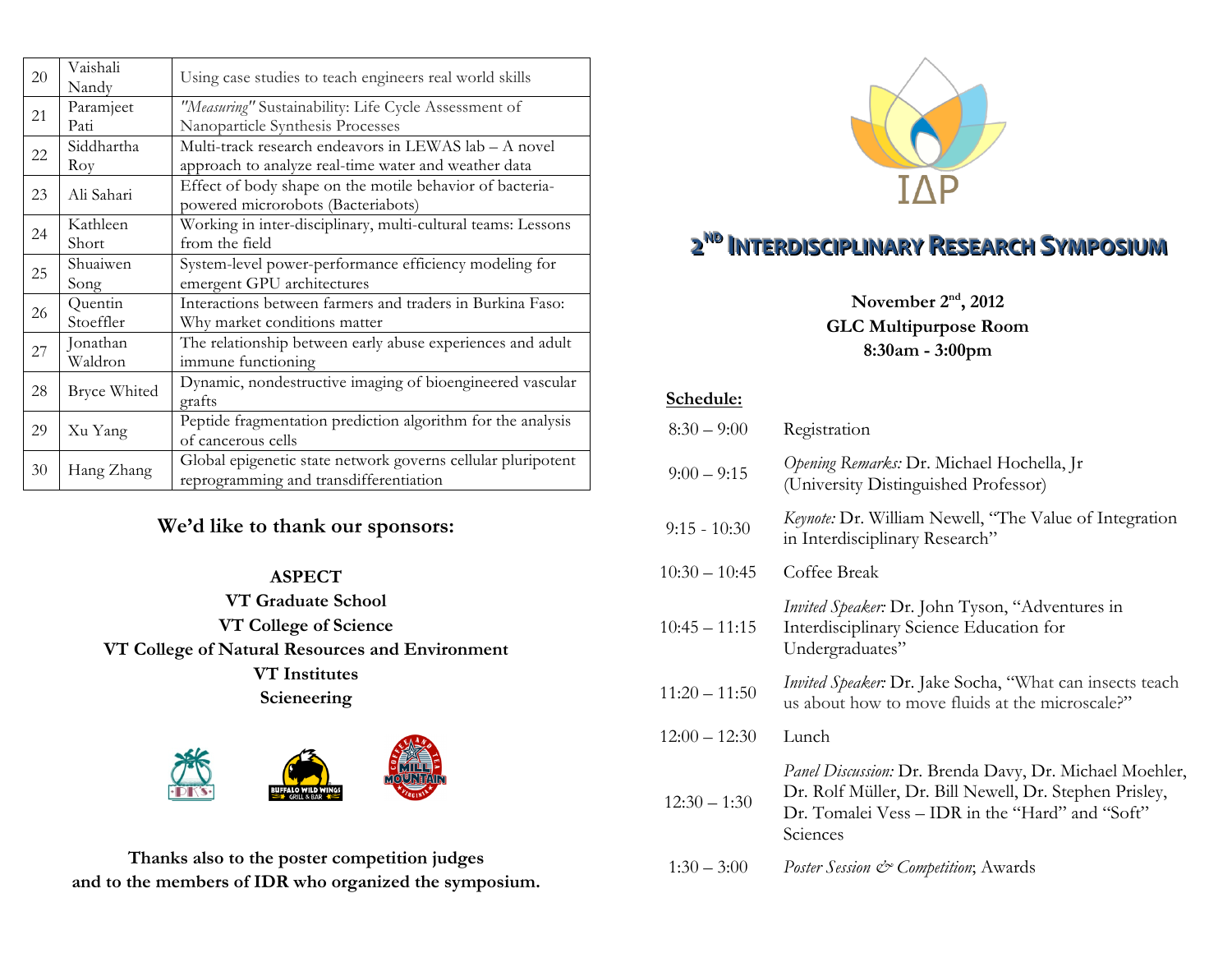| 20 | Vaishali            | Using case studies to teach engineers real world skills      |
|----|---------------------|--------------------------------------------------------------|
|    | Nandy               |                                                              |
| 21 | Paramjeet           | "Measuring" Sustainability: Life Cycle Assessment of         |
|    | Pati                | Nanoparticle Synthesis Processes                             |
| 22 | Siddhartha          | Multi-track research endeavors in LEWAS lab – A novel        |
|    | Roy                 | approach to analyze real-time water and weather data         |
| 23 | Ali Sahari          | Effect of body shape on the motile behavior of bacteria-     |
|    |                     | powered microrobots (Bacteriabots)                           |
| 24 | Kathleen            | Working in inter-disciplinary, multi-cultural teams: Lessons |
|    | Short               | from the field                                               |
|    | Shuaiwen            | System-level power-performance efficiency modeling for       |
| 25 | Song                | emergent GPU architectures                                   |
|    | Quentin             | Interactions between farmers and traders in Burkina Faso:    |
| 26 | Stoeffler           | Why market conditions matter                                 |
|    | Jonathan            | The relationship between early abuse experiences and adult   |
| 27 | Waldron             | immune functioning                                           |
| 28 | <b>Bryce Whited</b> | Dynamic, nondestructive imaging of bioengineered vascular    |
|    |                     | grafts                                                       |
| 29 | Xu Yang             | Peptide fragmentation prediction algorithm for the analysis  |
|    |                     | of cancerous cells                                           |
| 30 | Hang Zhang          | Global epigenetic state network governs cellular pluripotent |
|    |                     | reprogramming and transdifferentiation                       |

### **We'd like to thank our sponsors:**

#### **ASPECT**

**VT Graduate School VT College of Science VT College of Natural Resources and Environment VT Institutes Scieneering**



**Thanks also to the poster competition judges and to the members of IDR who organized the symposium.** 



# 2<sup>ND</sup> INTERDISCIPLINARY RESEARCH SYMPOSIUM

**November 2nd, 2012 GLC Multipurpose Room 8:30am - 3:00pm**

#### **Schedule:**

| $8:30 - 9:00$   | Registration                                                                                                                                                                     |
|-----------------|----------------------------------------------------------------------------------------------------------------------------------------------------------------------------------|
| $9:00 - 9:15$   | Opening Remarks: Dr. Michael Hochella, Jr<br>(University Distinguished Professor)                                                                                                |
| $9:15 - 10:30$  | <i>Keynote: Dr. William Newell, "The Value of Integration</i><br>in Interdisciplinary Research"                                                                                  |
| $10:30 - 10:45$ | Coffee Break                                                                                                                                                                     |
| $10:45 - 11:15$ | <i>Invited Speaker</i> : Dr. John Tyson, "Adventures in<br>Interdisciplinary Science Education for<br>Undergraduates"                                                            |
| $11:20 - 11:50$ | <i>Invited Speaker</i> : Dr. Jake Socha, "What can insects teach<br>us about how to move fluids at the microscale?"                                                              |
| $12:00 - 12:30$ | Lunch                                                                                                                                                                            |
| $12:30 - 1:30$  | Panel Discussion: Dr. Brenda Davy, Dr. Michael Moehler,<br>Dr. Rolf Müller, Dr. Bill Newell, Dr. Stephen Prisley,<br>Dr. Tomalei Vess – IDR in the "Hard" and "Soft"<br>Sciences |
| $1:30 - 3:00$   | Poster Session & Competition; Awards                                                                                                                                             |